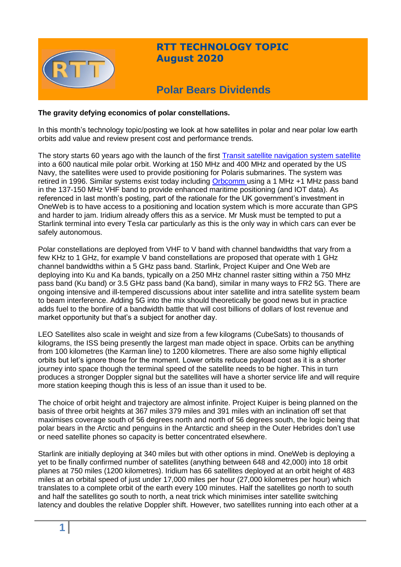

## **RTT TECHNOLOGY TOPIC August 2020**

# **Polar Bears Dividends**

#### **The gravity defying economics of polar constellations.**

In this month's technology topic/posting we look at how satellites in polar and near polar low earth orbits add value and review present cost and performance trends.

The story starts 60 years ago with the launch of the first [Transit satellite navigation system satellite](https://timeandnavigation.si.edu/multimedia-asset/transit-satellite-navigation-system)  into a 600 nautical mile polar orbit. Working at 150 MHz and 400 MHz and operated by the US Navy, the satellites were used to provide positioning for Polaris submarines. The system was retired in 1996. Similar systems exist today including [Orbcomm u](https://www.orbcomm.com/)sing a 1 MHz +1 MHz pass band in the 137-150 MHz VHF band to provide enhanced maritime positioning (and IOT data). As referenced in last month's posting, part of the rationale for the UK government's investment in OneWeb is to have access to a positioning and location system which is more accurate than GPS and harder to jam. Iridium already offers this as a service. Mr Musk must be tempted to put a Starlink terminal into every Tesla car particularly as this is the only way in which cars can ever be safely autonomous.

Polar constellations are deployed from VHF to V band with channel bandwidths that vary from a few KHz to 1 GHz, for example V band constellations are proposed that operate with 1 GHz channel bandwidths within a 5 GHz pass band. Starlink, Project Kuiper and One Web are deploying into Ku and Ka bands, typically on a 250 MHz channel raster sitting within a 750 MHz pass band (Ku band) or 3.5 GHz pass band (Ka band), similar in many ways to FR2 5G. There are ongoing intensive and ill-tempered discussions about inter satellite and intra satellite system beam to beam interference. Adding 5G into the mix should theoretically be good news but in practice adds fuel to the bonfire of a bandwidth battle that will cost billions of dollars of lost revenue and market opportunity but that's a subject for another day.

LEO Satellites also scale in weight and size from a few kilograms (CubeSats) to thousands of kilograms, the ISS being presently the largest man made object in space. Orbits can be anything from 100 kilometres (the Karman line) to 1200 kilometres. There are also some highly elliptical orbits but let's ignore those for the moment. Lower orbits reduce payload cost as it is a shorter journey into space though the terminal speed of the satellite needs to be higher. This in turn produces a stronger Doppler signal but the satellites will have a shorter service life and will require more station keeping though this is less of an issue than it used to be.

The choice of orbit height and trajectory are almost infinite. Project Kuiper is being planned on the basis of three orbit heights at 367 miles 379 miles and 391 miles with an inclination off set that maximises coverage south of 56 degrees north and north of 56 degrees south, the logic being that polar bears in the Arctic and penguins in the Antarctic and sheep in the Outer Hebrides don't use or need satellite phones so capacity is better concentrated elsewhere.

Starlink are initially deploying at 340 miles but with other options in mind. OneWeb is deploying a yet to be finally confirmed number of satellites (anything between 648 and 42,000) into 18 orbit planes at 750 miles (1200 kilometres). Iridium has 66 satellites deployed at an orbit height of 483 miles at an orbital speed of just under 17,000 miles per hour (27,000 kilometres per hour) which translates to a complete orbit of the earth every 100 minutes. Half the satellites go north to south and half the satellites go south to north, a neat trick which minimises inter satellite switching latency and doubles the relative Doppler shift. However, two satellites running into each other at a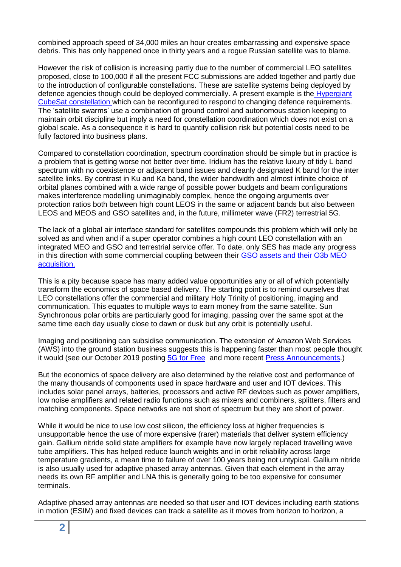combined approach speed of 34,000 miles an hour creates embarrassing and expensive space debris. This has only happened once in thirty years and a rogue Russian satellite was to blame.

However the risk of collision is increasing partly due to the number of commercial LEO satellites proposed, close to 100,000 if all the present FCC submissions are added together and partly due to the introduction of configurable constellations. These are satellite systems being deployed by defence agencies though could be deployed commercially. A present example is the [Hypergiant](https://www.satellitetoday.com/government-military/2020/07/07/hypergiant-collaborates-with-u-s-air-force-on-reconfigurable-constellation/)  [CubeSat constellation w](https://www.satellitetoday.com/government-military/2020/07/07/hypergiant-collaborates-with-u-s-air-force-on-reconfigurable-constellation/)hich can be reconfigured to respond to changing defence requirements. The 'satellite swarms' use a combination of ground control and autonomous station keeping to maintain orbit discipline but imply a need for constellation coordination which does not exist on a global scale. As a consequence it is hard to quantify collision risk but potential costs need to be fully factored into business plans.

Compared to constellation coordination, spectrum coordination should be simple but in practice is a problem that is getting worse not better over time. Iridium has the relative luxury of tidy L band spectrum with no coexistence or adjacent band issues and cleanly designated K band for the inter satellite links. By contrast in Ku and Ka band, the wider bandwidth and almost infinite choice of orbital planes combined with a wide range of possible power budgets and beam configurations makes interference modelling unimaginably complex, hence the ongoing arguments over protection ratios both between high count LEOS in the same or adjacent bands but also between LEOS and MEOS and GSO satellites and, in the future, millimeter wave (FR2) terrestrial 5G.

The lack of a global air interface standard for satellites compounds this problem which will only be solved as and when and if a super operator combines a high count LEO constellation with an integrated MEO and GSO and terrestrial service offer. To date, only SES has made any progress in this direction with some commercial coupling between their [GSO assets and their O3b MEO](https://www.ses.com/networks/networks-and-platforms/o3b-meo#:~:text=SES%E2%80%99%20O3b%20MEO%20is%20a%20binding%20solution%20between,which%20is%20the%20core%20of%20the%20societal%20evolution.)  [acquisition.](https://www.ses.com/networks/networks-and-platforms/o3b-meo#:~:text=SES%E2%80%99%20O3b%20MEO%20is%20a%20binding%20solution%20between,which%20is%20the%20core%20of%20the%20societal%20evolution.)

This is a pity because space has many added value opportunities any or all of which potentially transform the economics of space based delivery. The starting point is to remind ourselves that LEO constellations offer the commercial and military Holy Trinity of positioning, imaging and communication. This equates to multiple ways to earn money from the same satellite. Sun Synchronous polar orbits are particularly good for imaging, passing over the same spot at the same time each day usually close to dawn or dusk but any orbit is potentially useful.

Imaging and positioning can subsidise communication. The extension of Amazon Web Services (AWS) into the ground station business suggests this is happening faster than most people thought it would (see our October 2019 posting [5G for Free](https://www.rttonline.com/sitemap.html) and more recent [Press Announcements.](https://www.cnbc.com/2020/06/30/amazons-aws-establishes-aerospace-and-satellite-solutions-space-unit.html))

But the economics of space delivery are also determined by the relative cost and performance of the many thousands of components used in space hardware and user and IOT devices. This includes solar panel arrays, batteries, processors and active RF devices such as power amplifiers, low noise amplifiers and related radio functions such as mixers and combiners, splitters, filters and matching components. Space networks are not short of spectrum but they are short of power.

While it would be nice to use low cost silicon, the efficiency loss at higher frequencies is unsupportable hence the use of more expensive (rarer) materials that deliver system efficiency gain. Gallium nitride solid state amplifiers for example have now largely replaced travelling wave tube amplifiers. This has helped reduce launch weights and in orbit reliability across large temperature gradients, a mean time to failure of over 100 years being not untypical. Gallium nitride is also usually used for adaptive phased array antennas. Given that each element in the array needs its own RF amplifier and LNA this is generally going to be too expensive for consumer terminals.

Adaptive phased array antennas are needed so that user and IOT devices including earth stations in motion (ESIM) and fixed devices can track a satellite as it moves from horizon to horizon, a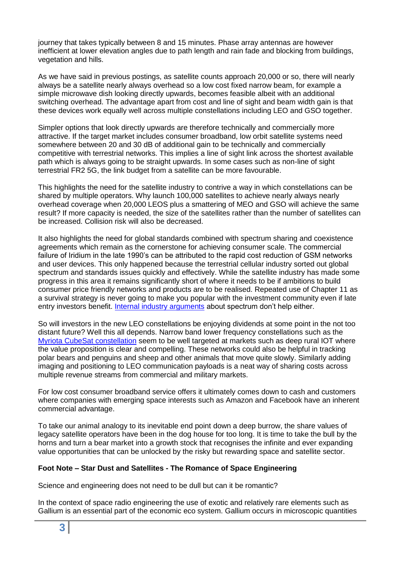journey that takes typically between 8 and 15 minutes. Phase array antennas are however inefficient at lower elevation angles due to path length and rain fade and blocking from buildings, vegetation and hills.

As we have said in previous postings, as satellite counts approach 20,000 or so, there will nearly always be a satellite nearly always overhead so a low cost fixed narrow beam, for example a simple microwave dish looking directly upwards, becomes feasible albeit with an additional switching overhead. The advantage apart from cost and line of sight and beam width gain is that these devices work equally well across multiple constellations including LEO and GSO together.

Simpler options that look directly upwards are therefore technically and commercially more attractive. If the target market includes consumer broadband, low orbit satellite systems need somewhere between 20 and 30 dB of additional gain to be technically and commercially competitive with terrestrial networks. This implies a line of sight link across the shortest available path which is always going to be straight upwards. In some cases such as non-line of sight terrestrial FR2 5G, the link budget from a satellite can be more favourable.

This highlights the need for the satellite industry to contrive a way in which constellations can be shared by multiple operators. Why launch 100,000 satellites to achieve nearly always nearly overhead coverage when 20,000 LEOS plus a smattering of MEO and GSO will achieve the same result? If more capacity is needed, the size of the satellites rather than the number of satellites can be increased. Collision risk will also be decreased.

It also highlights the need for global standards combined with spectrum sharing and coexistence agreements which remain as the cornerstone for achieving consumer scale. The commercial failure of Iridium in the late 1990's can be attributed to the rapid cost reduction of GSM networks and user devices. This only happened because the terrestrial cellular industry sorted out global spectrum and standards issues quickly and effectively. While the satellite industry has made some progress in this area it remains significantly short of where it needs to be if ambitions to build consumer price friendly networks and products are to be realised. Repeated use of Chapter 11 as a survival strategy is never going to make you popular with the investment community even if late entry investors benefit. Internal [industry arguments](https://www.satellitetoday.com/business/2020/07/15/ses-files-1-8b-claim-against-intelsat-over-c-band-alliance/) about spectrum don't help either.

So will investors in the new LEO constellations be enjoying dividends at some point in the not too distant future? Well this all depends. Narrow band lower frequency constellations such as the [Myriota CubeSat constellation](https://myriota.com/) seem to be well targeted at markets such as deep rural IOT where the value proposition is clear and compelling. These networks could also be helpful in tracking polar bears and penguins and sheep and other animals that move quite slowly. Similarly adding imaging and positioning to LEO communication payloads is a neat way of sharing costs across multiple revenue streams from commercial and military markets.

For low cost consumer broadband service offers it ultimately comes down to cash and customers where companies with emerging space interests such as Amazon and Facebook have an inherent commercial advantage.

To take our animal analogy to its inevitable end point down a deep burrow, the share values of legacy satellite operators have been in the dog house for too long. It is time to take the bull by the horns and turn a bear market into a growth stock that recognises the infinite and ever expanding value opportunities that can be unlocked by the risky but rewarding space and satellite sector.

## **Foot Note – Star Dust and Satellites - The Romance of Space Engineering**

Science and engineering does not need to be dull but can it be romantic?

In the context of space radio engineering the use of exotic and relatively rare elements such as Gallium is an essential part of the economic eco system. Gallium occurs in microscopic quantities